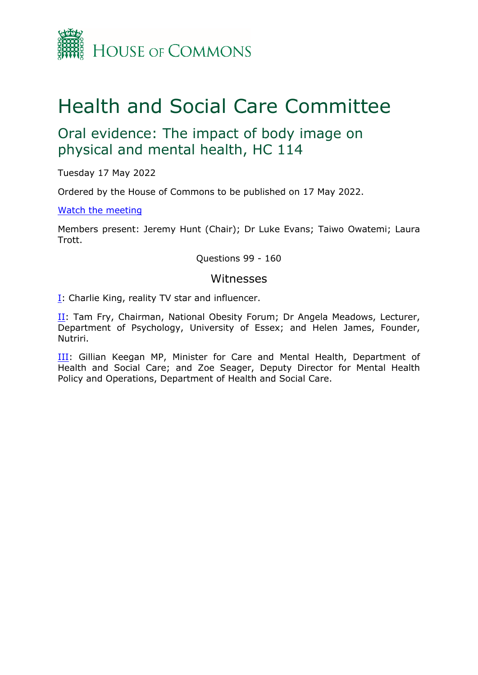

# Health and Social Care Committee

## Oral evidence: The impact of body image on physical and mental health, HC 114

Tuesday 17 May 2022

Ordered by the House of Commons to be published on 17 May 2022.

### [Watch](https://www.parliamentlive.tv/Event/Index/a28f695b-e261-4053-9a59-b47a436fa775) [the](https://www.parliamentlive.tv/Event/Index/a28f695b-e261-4053-9a59-b47a436fa775) [meeting](https://www.parliamentlive.tv/Event/Index/a28f695b-e261-4053-9a59-b47a436fa775)

Members present: Jeremy Hunt (Chair); Dr Luke Evans; Taiwo Owatemi; Laura Trott.

Questions 99 - 160

### Witnesses

[I:](#page-1-0) Charlie King, reality TV star and influencer.

[II](#page-8-0): Tam Fry, Chairman, National Obesity Forum; Dr Angela Meadows, Lecturer, Department of Psychology, University of Essex; and Helen James, Founder, Nutriri.

[III:](#page-19-0) Gillian Keegan MP, Minister for Care and Mental Health, Department of Health and Social Care; and Zoe Seager, Deputy Director for Mental Health Policy and Operations, Department of Health and Social Care.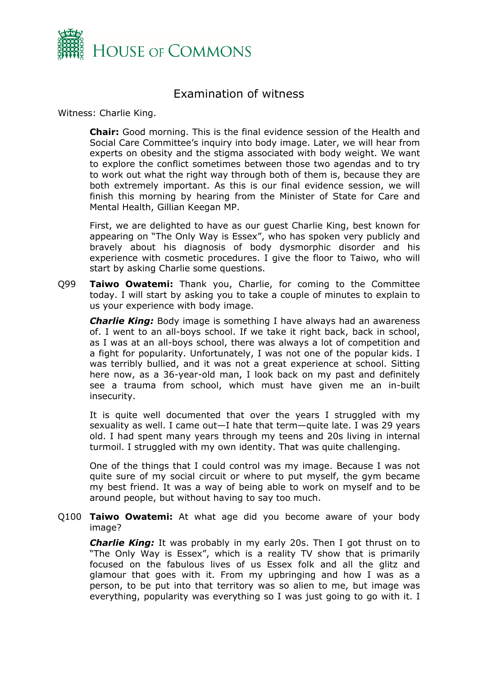

## <span id="page-1-0"></span>Examination of witness

Witness: Charlie King.

**Chair:** Good morning. This is the final evidence session of the Health and Social Care Committee's inquiry into body image. Later, we will hear from experts on obesity and the stigma associated with body weight. We want to explore the conflict sometimes between those two agendas and to try to work out what the right way through both of them is, because they are both extremely important. As this is our final evidence session, we will finish this morning by hearing from the Minister of State for Care and Mental Health, Gillian Keegan MP.

First, we are delighted to have as our guest Charlie King, best known for appearing on "The Only Way is Essex", who has spoken very publicly and bravely about his diagnosis of body dysmorphic disorder and his experience with cosmetic procedures. I give the floor to Taiwo, who will start by asking Charlie some questions.

Q99 **Taiwo Owatemi:** Thank you, Charlie, for coming to the Committee today. I will start by asking you to take a couple of minutes to explain to us your experience with body image.

*Charlie King:* Body image is something I have always had an awareness of. I went to an all-boys school. If we take it right back, back in school, as I was at an all-boys school, there was always a lot of competition and a fight for popularity. Unfortunately, I was not one of the popular kids. I was terribly bullied, and it was not a great experience at school. Sitting here now, as a 36-year-old man, I look back on my past and definitely see a trauma from school, which must have given me an in-built insecurity.

It is quite well documented that over the years I struggled with my sexuality as well. I came out—I hate that term—quite late. I was 29 years old. I had spent many years through my teens and 20s living in internal turmoil. I struggled with my own identity. That was quite challenging.

One of the things that I could control was my image. Because I was not quite sure of my social circuit or where to put myself, the gym became my best friend. It was a way of being able to work on myself and to be around people, but without having to say too much.

Q100 **Taiwo Owatemi:** At what age did you become aware of your body image?

*Charlie King:* It was probably in my early 20s. Then I got thrust on to "The Only Way is Essex", which is a reality TV show that is primarily focused on the fabulous lives of us Essex folk and all the glitz and glamour that goes with it. From my upbringing and how I was as a person, to be put into that territory was so alien to me, but image was everything, popularity was everything so I was just going to go with it. I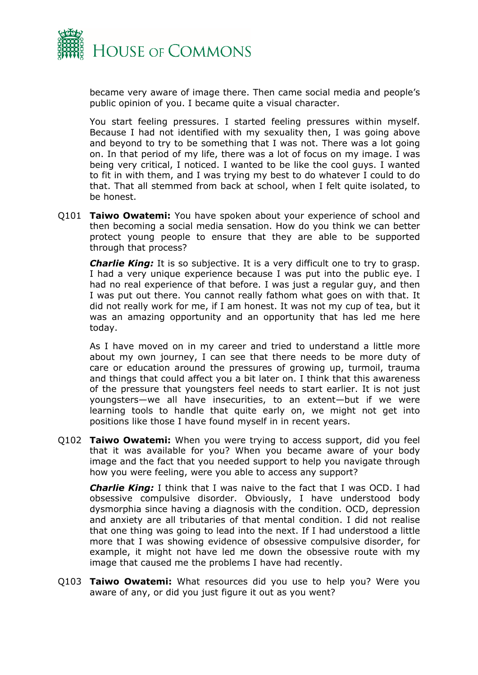

became very aware of image there. Then came social media and people's public opinion of you. I became quite a visual character.

You start feeling pressures. I started feeling pressures within myself. Because I had not identified with my sexuality then, I was going above and beyond to try to be something that I was not. There was a lot going on. In that period of my life, there was a lot of focus on my image. I was being very critical, I noticed. I wanted to be like the cool guys. I wanted to fit in with them, and I was trying my best to do whatever I could to do that. That all stemmed from back at school, when I felt quite isolated, to be honest.

Q101 **Taiwo Owatemi:** You have spoken about your experience of school and then becoming a social media sensation. How do you think we can better protect young people to ensure that they are able to be supported through that process?

*Charlie King:* It is so subjective. It is a very difficult one to try to grasp. I had a very unique experience because I was put into the public eye. I had no real experience of that before. I was just a regular guy, and then I was put out there. You cannot really fathom what goes on with that. It did not really work for me, if I am honest. It was not my cup of tea, but it was an amazing opportunity and an opportunity that has led me here today.

As I have moved on in my career and tried to understand a little more about my own journey, I can see that there needs to be more duty of care or education around the pressures of growing up, turmoil, trauma and things that could affect you a bit later on. I think that this awareness of the pressure that youngsters feel needs to start earlier. It is not just youngsters—we all have insecurities, to an extent—but if we were learning tools to handle that quite early on, we might not get into positions like those I have found myself in in recent years.

Q102 **Taiwo Owatemi:** When you were trying to access support, did you feel that it was available for you? When you became aware of your body image and the fact that you needed support to help you navigate through how you were feeling, were you able to access any support?

*Charlie King:* I think that I was naive to the fact that I was OCD. I had obsessive compulsive disorder. Obviously, I have understood body dysmorphia since having a diagnosis with the condition. OCD, depression and anxiety are all tributaries of that mental condition. I did not realise that one thing was going to lead into the next. If I had understood a little more that I was showing evidence of obsessive compulsive disorder, for example, it might not have led me down the obsessive route with my image that caused me the problems I have had recently.

Q103 **Taiwo Owatemi:** What resources did you use to help you? Were you aware of any, or did you just figure it out as you went?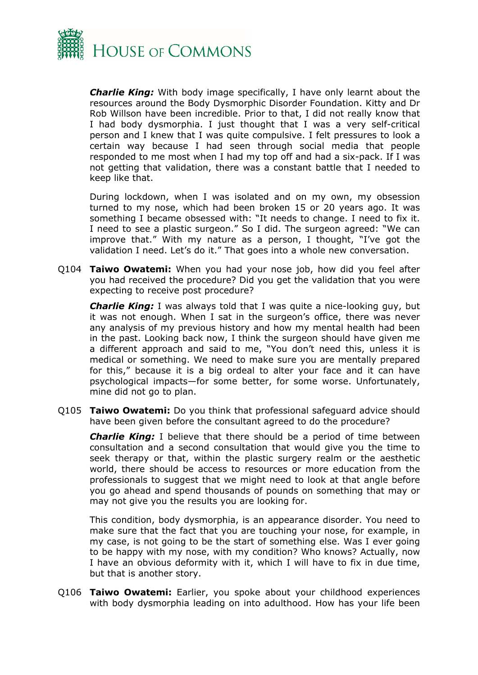

*Charlie King:* With body image specifically, I have only learnt about the resources around the Body Dysmorphic Disorder Foundation. Kitty and Dr Rob Willson have been incredible. Prior to that, I did not really know that I had body dysmorphia. I just thought that I was a very self-critical person and I knew that I was quite compulsive. I felt pressures to look a certain way because I had seen through social media that people responded to me most when I had my top off and had a six-pack. If I was not getting that validation, there was a constant battle that I needed to keep like that.

During lockdown, when I was isolated and on my own, my obsession turned to my nose, which had been broken 15 or 20 years ago. It was something I became obsessed with: "It needs to change. I need to fix it. I need to see a plastic surgeon." So I did. The surgeon agreed: "We can improve that." With my nature as a person, I thought, "I've got the validation I need. Let's do it." That goes into a whole new conversation.

Q104 **Taiwo Owatemi:** When you had your nose job, how did you feel after you had received the procedure? Did you get the validation that you were expecting to receive post procedure?

*Charlie King:* I was always told that I was quite a nice-looking guy, but it was not enough. When I sat in the surgeon's office, there was never any analysis of my previous history and how my mental health had been in the past. Looking back now, I think the surgeon should have given me a different approach and said to me, "You don't need this, unless it is medical or something. We need to make sure you are mentally prepared for this," because it is a big ordeal to alter your face and it can have psychological impacts—for some better, for some worse. Unfortunately, mine did not go to plan.

Q105 **Taiwo Owatemi:** Do you think that professional safeguard advice should have been given before the consultant agreed to do the procedure?

*Charlie King:* I believe that there should be a period of time between consultation and a second consultation that would give you the time to seek therapy or that, within the plastic surgery realm or the aesthetic world, there should be access to resources or more education from the professionals to suggest that we might need to look at that angle before you go ahead and spend thousands of pounds on something that may or may not give you the results you are looking for.

This condition, body dysmorphia, is an appearance disorder. You need to make sure that the fact that you are touching your nose, for example, in my case, is not going to be the start of something else. Was I ever going to be happy with my nose, with my condition? Who knows? Actually, now I have an obvious deformity with it, which I will have to fix in due time, but that is another story.

Q106 **Taiwo Owatemi:** Earlier, you spoke about your childhood experiences with body dysmorphia leading on into adulthood. How has your life been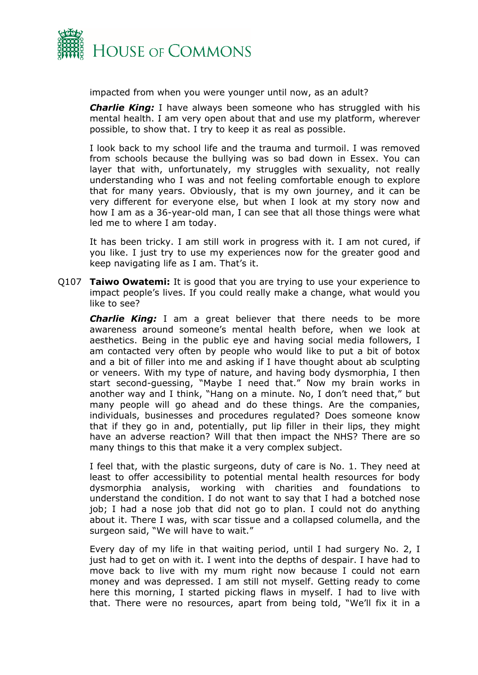

impacted from when you were younger until now, as an adult?

*Charlie King:* I have always been someone who has struggled with his mental health. I am very open about that and use my platform, wherever possible, to show that. I try to keep it as real as possible.

I look back to my school life and the trauma and turmoil. I was removed from schools because the bullying was so bad down in Essex. You can layer that with, unfortunately, my struggles with sexuality, not really understanding who I was and not feeling comfortable enough to explore that for many years. Obviously, that is my own journey, and it can be very different for everyone else, but when I look at my story now and how I am as a 36-year-old man, I can see that all those things were what led me to where I am today.

It has been tricky. I am still work in progress with it. I am not cured, if you like. I just try to use my experiences now for the greater good and keep navigating life as I am. That's it.

Q107 **Taiwo Owatemi:** It is good that you are trying to use your experience to impact people's lives. If you could really make a change, what would you like to see?

*Charlie King:* I am a great believer that there needs to be more awareness around someone's mental health before, when we look at aesthetics. Being in the public eye and having social media followers, I am contacted very often by people who would like to put a bit of botox and a bit of filler into me and asking if I have thought about ab sculpting or veneers. With my type of nature, and having body dysmorphia, I then start second-guessing, "Maybe I need that." Now my brain works in another way and I think, "Hang on a minute. No, I don't need that," but many people will go ahead and do these things. Are the companies, individuals, businesses and procedures regulated? Does someone know that if they go in and, potentially, put lip filler in their lips, they might have an adverse reaction? Will that then impact the NHS? There are so many things to this that make it a very complex subject.

I feel that, with the plastic surgeons, duty of care is No. 1. They need at least to offer accessibility to potential mental health resources for body dysmorphia analysis, working with charities and foundations to understand the condition. I do not want to say that I had a botched nose job; I had a nose job that did not go to plan. I could not do anything about it. There I was, with scar tissue and a collapsed columella, and the surgeon said, "We will have to wait."

Every day of my life in that waiting period, until I had surgery No. 2, I just had to get on with it. I went into the depths of despair. I have had to move back to live with my mum right now because I could not earn money and was depressed. I am still not myself. Getting ready to come here this morning, I started picking flaws in myself. I had to live with that. There were no resources, apart from being told, "We'll fix it in a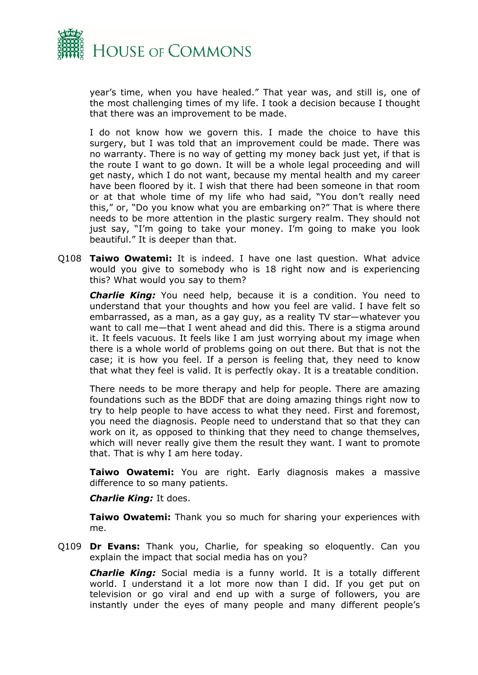

year's time, when you have healed." That year was, and still is, one of the most challenging times of my life. I took a decision because I thought that there was an improvement to be made.

I do not know how we govern this. I made the choice to have this surgery, but I was told that an improvement could be made. There was no warranty. There is no way of getting my money back just yet, if that is the route I want to go down. It will be a whole legal proceeding and will get nasty, which I do not want, because my mental health and my career have been floored by it. I wish that there had been someone in that room or at that whole time of my life who had said, "You don't really need this," or, "Do you know what you are embarking on?" That is where there needs to be more attention in the plastic surgery realm. They should not just say, "I'm going to take your money. I'm going to make you look beautiful." It is deeper than that.

Q108 **Taiwo Owatemi:** It is indeed. I have one last question. What advice would you give to somebody who is 18 right now and is experiencing this? What would you say to them?

*Charlie King:* You need help, because it is a condition. You need to understand that your thoughts and how you feel are valid. I have felt so embarrassed, as a man, as a gay guy, as a reality TV star—whatever you want to call me—that I went ahead and did this. There is a stigma around it. It feels vacuous. It feels like I am just worrying about my image when there is a whole world of problems going on out there. But that is not the case; it is how you feel. If a person is feeling that, they need to know that what they feel is valid. It is perfectly okay. It is a treatable condition.

There needs to be more therapy and help for people. There are amazing foundations such as the BDDF that are doing amazing things right now to try to help people to have access to what they need. First and foremost, you need the diagnosis. People need to understand that so that they can work on it, as opposed to thinking that they need to change themselves, which will never really give them the result they want. I want to promote that. That is why I am here today.

**Taiwo Owatemi:** You are right. Early diagnosis makes a massive difference to so many patients.

*Charlie King:* It does.

**Taiwo Owatemi:** Thank you so much for sharing your experiences with me.

Q109 **Dr Evans:** Thank you, Charlie, for speaking so eloquently. Can you explain the impact that social media has on you?

*Charlie King:* Social media is a funny world. It is a totally different world. I understand it a lot more now than I did. If you get put on television or go viral and end up with a surge of followers, you are instantly under the eyes of many people and many different people's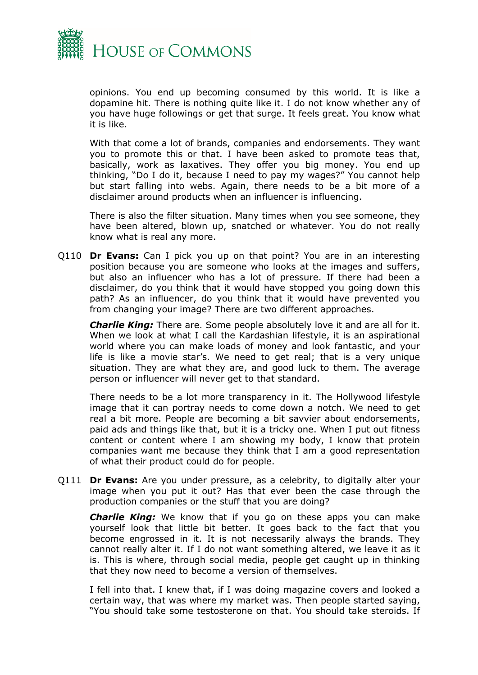

opinions. You end up becoming consumed by this world. It is like a dopamine hit. There is nothing quite like it. I do not know whether any of you have huge followings or get that surge. It feels great. You know what it is like.

With that come a lot of brands, companies and endorsements. They want you to promote this or that. I have been asked to promote teas that, basically, work as laxatives. They offer you big money. You end up thinking, "Do I do it, because I need to pay my wages?" You cannot help but start falling into webs. Again, there needs to be a bit more of a disclaimer around products when an influencer is influencing.

There is also the filter situation. Many times when you see someone, they have been altered, blown up, snatched or whatever. You do not really know what is real any more.

Q110 **Dr Evans:** Can I pick you up on that point? You are in an interesting position because you are someone who looks at the images and suffers, but also an influencer who has a lot of pressure. If there had been a disclaimer, do you think that it would have stopped you going down this path? As an influencer, do you think that it would have prevented you from changing your image? There are two different approaches.

*Charlie King:* There are. Some people absolutely love it and are all for it. When we look at what I call the Kardashian lifestyle, it is an aspirational world where you can make loads of money and look fantastic, and your life is like a movie star's. We need to get real; that is a very unique situation. They are what they are, and good luck to them. The average person or influencer will never get to that standard.

There needs to be a lot more transparency in it. The Hollywood lifestyle image that it can portray needs to come down a notch. We need to get real a bit more. People are becoming a bit savvier about endorsements, paid ads and things like that, but it is a tricky one. When I put out fitness content or content where I am showing my body, I know that protein companies want me because they think that I am a good representation of what their product could do for people.

Q111 **Dr Evans:** Are you under pressure, as a celebrity, to digitally alter your image when you put it out? Has that ever been the case through the production companies or the stuff that you are doing?

*Charlie King:* We know that if you go on these apps you can make yourself look that little bit better. It goes back to the fact that you become engrossed in it. It is not necessarily always the brands. They cannot really alter it. If I do not want something altered, we leave it as it is. This is where, through social media, people get caught up in thinking that they now need to become a version of themselves.

I fell into that. I knew that, if I was doing magazine covers and looked a certain way, that was where my market was. Then people started saying, "You should take some testosterone on that. You should take steroids. If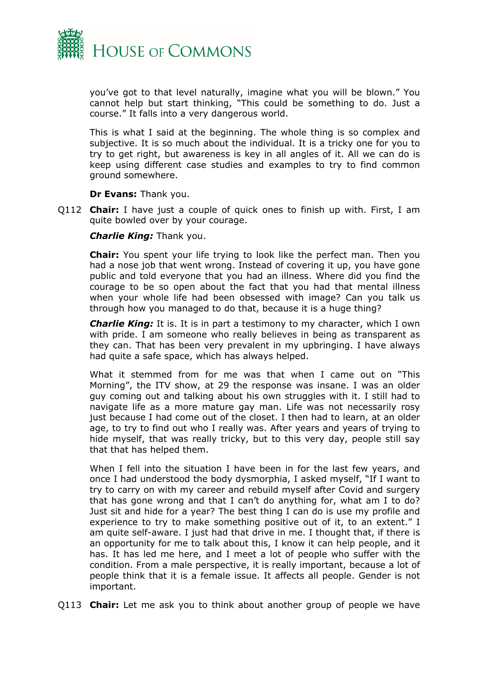

you've got to that level naturally, imagine what you will be blown." You cannot help but start thinking, "This could be something to do. Just a course." It falls into a very dangerous world.

This is what I said at the beginning. The whole thing is so complex and subjective. It is so much about the individual. It is a tricky one for you to try to get right, but awareness is key in all angles of it. All we can do is keep using different case studies and examples to try to find common ground somewhere.

**Dr Evans:** Thank you.

Q112 **Chair:** I have just a couple of quick ones to finish up with. First, I am quite bowled over by your courage.

*Charlie King:* Thank you.

**Chair:** You spent your life trying to look like the perfect man. Then you had a nose job that went wrong. Instead of covering it up, you have gone public and told everyone that you had an illness. Where did you find the courage to be so open about the fact that you had that mental illness when your whole life had been obsessed with image? Can you talk us through how you managed to do that, because it is a huge thing?

*Charlie King:* It is. It is in part a testimony to my character, which I own with pride. I am someone who really believes in being as transparent as they can. That has been very prevalent in my upbringing. I have always had quite a safe space, which has always helped.

What it stemmed from for me was that when I came out on "This Morning", the ITV show, at 29 the response was insane. I was an older guy coming out and talking about his own struggles with it. I still had to navigate life as a more mature gay man. Life was not necessarily rosy just because I had come out of the closet. I then had to learn, at an older age, to try to find out who I really was. After years and years of trying to hide myself, that was really tricky, but to this very day, people still say that that has helped them.

When I fell into the situation I have been in for the last few years, and once I had understood the body dysmorphia, I asked myself, "If I want to try to carry on with my career and rebuild myself after Covid and surgery that has gone wrong and that I can't do anything for, what am I to do? Just sit and hide for a year? The best thing I can do is use my profile and experience to try to make something positive out of it, to an extent." I am quite self-aware. I just had that drive in me. I thought that, if there is an opportunity for me to talk about this, I know it can help people, and it has. It has led me here, and I meet a lot of people who suffer with the condition. From a male perspective, it is really important, because a lot of people think that it is a female issue. It affects all people. Gender is not important.

Q113 **Chair:** Let me ask you to think about another group of people we have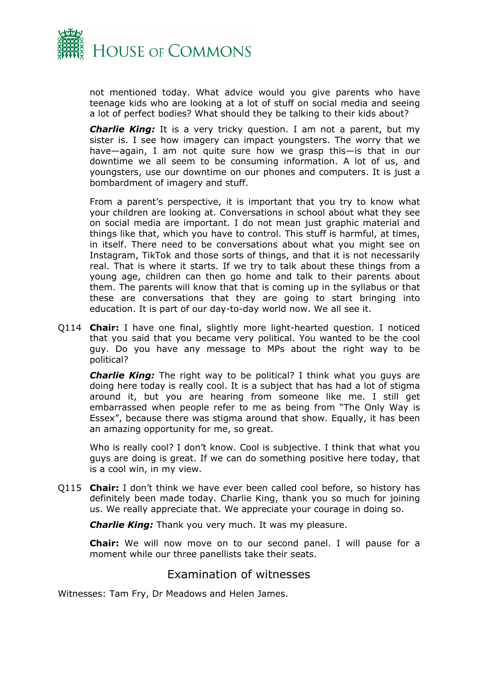

not mentioned today. What advice would you give parents who have teenage kids who are looking at a lot of stuff on social media and seeing a lot of perfect bodies? What should they be talking to their kids about?

*Charlie King:* It is a very tricky question. I am not a parent, but my sister is. I see how imagery can impact youngsters. The worry that we have—again, I am not quite sure how we grasp this—is that in our downtime we all seem to be consuming information. A lot of us, and youngsters, use our downtime on our phones and computers. It is just a bombardment of imagery and stuff.

From a parent's perspective, it is important that you try to know what your children are looking at. Conversations in school about what they see on social media are important. I do not mean just graphic material and things like that, which you have to control. This stuff is harmful, at times, in itself. There need to be conversations about what you might see on Instagram, TikTok and those sorts of things, and that it is not necessarily real. That is where it starts. If we try to talk about these things from a young age, children can then go home and talk to their parents about them. The parents will know that that is coming up in the syllabus or that these are conversations that they are going to start bringing into education. It is part of our day-to-day world now. We all see it.

Q114 **Chair:** I have one final, slightly more light-hearted question. I noticed that you said that you became very political. You wanted to be the cool guy. Do you have any message to MPs about the right way to be political?

*Charlie King:* The right way to be political? I think what you guys are doing here today is really cool. It is a subject that has had a lot of stigma around it, but you are hearing from someone like me. I still get embarrassed when people refer to me as being from "The Only Way is Essex", because there was stigma around that show. Equally, it has been an amazing opportunity for me, so great.

Who is really cool? I don't know. Cool is subjective. I think that what you guys are doing is great. If we can do something positive here today, that is a cool win, in my view.

Q115 **Chair:** I don't think we have ever been called cool before, so history has definitely been made today. Charlie King, thank you so much for joining us. We really appreciate that. We appreciate your courage in doing so.

*Charlie King:* Thank you very much. It was my pleasure.

**Chair:** We will now move on to our second panel. I will pause for a moment while our three panellists take their seats.

## <span id="page-8-0"></span>Examination of witnesses

Witnesses: Tam Fry, Dr Meadows and Helen James.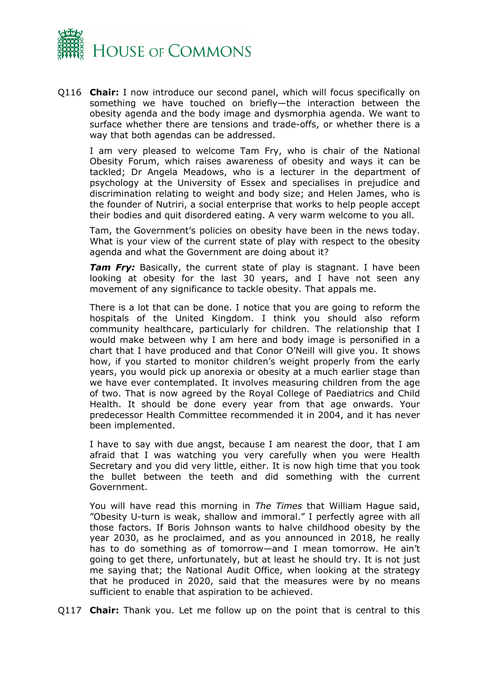

Q116 **Chair:** I now introduce our second panel, which will focus specifically on something we have touched on briefly—the interaction between the obesity agenda and the body image and dysmorphia agenda. We want to surface whether there are tensions and trade-offs, or whether there is a way that both agendas can be addressed.

I am very pleased to welcome Tam Fry, who is chair of the National Obesity Forum, which raises awareness of obesity and ways it can be tackled; Dr Angela Meadows, who is a lecturer in the department of psychology at the University of Essex and specialises in prejudice and discrimination relating to weight and body size; and Helen James, who is the founder of Nutriri, a social enterprise that works to help people accept their bodies and quit disordered eating. A very warm welcome to you all.

Tam, the Government's policies on obesity have been in the news today. What is your view of the current state of play with respect to the obesity agenda and what the Government are doing about it?

**Tam Fry:** Basically, the current state of play is stagnant. I have been looking at obesity for the last 30 years, and I have not seen any movement of any significance to tackle obesity. That appals me.

There is a lot that can be done. I notice that you are going to reform the hospitals of the United Kingdom. I think you should also reform community healthcare, particularly for children. The relationship that I would make between why I am here and body image is personified in a chart that I have produced and that Conor O'Neill will give you. It shows how, if you started to monitor children's weight properly from the early years, you would pick up anorexia or obesity at a much earlier stage than we have ever contemplated. It involves measuring children from the age of two. That is now agreed by the Royal College of Paediatrics and Child Health. It should be done every year from that age onwards. Your predecessor Health Committee recommended it in 2004, and it has never been implemented.

I have to say with due angst, because I am nearest the door, that I am afraid that I was watching you very carefully when you were Health Secretary and you did very little, either. It is now high time that you took the bullet between the teeth and did something with the current Government.

You will have read this morning in *The Times* that William Hague said, "Obesity U-turn is weak, shallow and immoral." I perfectly agree with all those factors. If Boris Johnson wants to halve childhood obesity by the year 2030, as he proclaimed, and as you announced in 2018, he really has to do something as of tomorrow—and I mean tomorrow. He ain't going to get there, unfortunately, but at least he should try. It is not just me saying that; the National Audit Office, when looking at the strategy that he produced in 2020, said that the measures were by no means sufficient to enable that aspiration to be achieved.

Q117 **Chair:** Thank you. Let me follow up on the point that is central to this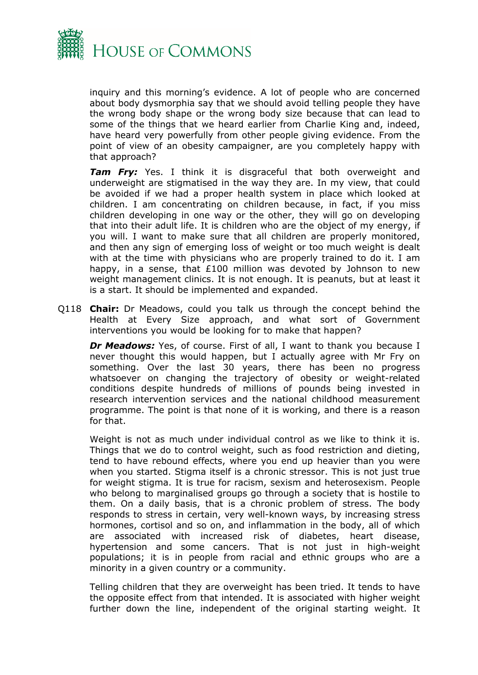

inquiry and this morning's evidence. A lot of people who are concerned about body dysmorphia say that we should avoid telling people they have the wrong body shape or the wrong body size because that can lead to some of the things that we heard earlier from Charlie King and, indeed, have heard very powerfully from other people giving evidence. From the point of view of an obesity campaigner, are you completely happy with that approach?

*Tam Fry:* Yes. I think it is disgraceful that both overweight and underweight are stigmatised in the way they are. In my view, that could be avoided if we had a proper health system in place which looked at children. I am concentrating on children because, in fact, if you miss children developing in one way or the other, they will go on developing that into their adult life. It is children who are the object of my energy, if you will. I want to make sure that all children are properly monitored, and then any sign of emerging loss of weight or too much weight is dealt with at the time with physicians who are properly trained to do it. I am happy, in a sense, that £100 million was devoted by Johnson to new weight management clinics. It is not enough. It is peanuts, but at least it is a start. It should be implemented and expanded.

Q118 **Chair:** Dr Meadows, could you talk us through the concept behind the Health at Every Size approach, and what sort of Government interventions you would be looking for to make that happen?

*Dr Meadows:* Yes, of course. First of all, I want to thank you because I never thought this would happen, but I actually agree with Mr Fry on something. Over the last 30 years, there has been no progress whatsoever on changing the trajectory of obesity or weight-related conditions despite hundreds of millions of pounds being invested in research intervention services and the national childhood measurement programme. The point is that none of it is working, and there is a reason for that.

Weight is not as much under individual control as we like to think it is. Things that we do to control weight, such as food restriction and dieting, tend to have rebound effects, where you end up heavier than you were when you started. Stigma itself is a chronic stressor. This is not just true for weight stigma. It is true for racism, sexism and heterosexism. People who belong to marginalised groups go through a society that is hostile to them. On a daily basis, that is a chronic problem of stress. The body responds to stress in certain, very well-known ways, by increasing stress hormones, cortisol and so on, and inflammation in the body, all of which are associated with increased risk of diabetes, heart disease, hypertension and some cancers. That is not just in high-weight populations; it is in people from racial and ethnic groups who are a minority in a given country or a community.

Telling children that they are overweight has been tried. It tends to have the opposite effect from that intended. It is associated with higher weight further down the line, independent of the original starting weight. It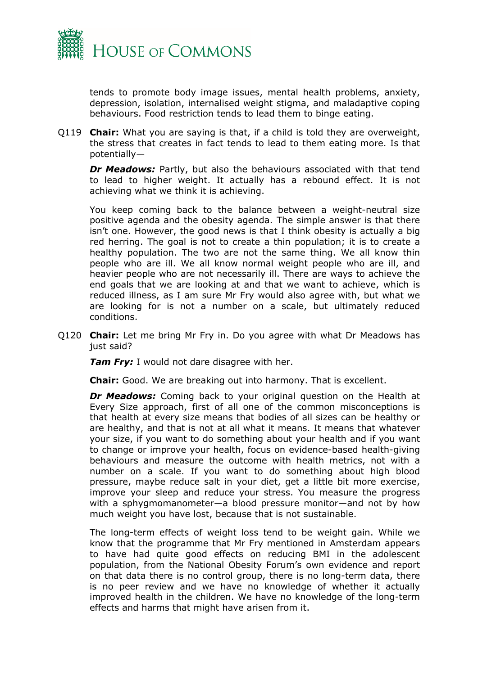

tends to promote body image issues, mental health problems, anxiety, depression, isolation, internalised weight stigma, and maladaptive coping behaviours. Food restriction tends to lead them to binge eating.

Q119 **Chair:** What you are saying is that, if a child is told they are overweight, the stress that creates in fact tends to lead to them eating more. Is that potentially—

*Dr Meadows:* Partly, but also the behaviours associated with that tend to lead to higher weight. It actually has a rebound effect. It is not achieving what we think it is achieving.

You keep coming back to the balance between a weight-neutral size positive agenda and the obesity agenda. The simple answer is that there isn't one. However, the good news is that I think obesity is actually a big red herring. The goal is not to create a thin population; it is to create a healthy population. The two are not the same thing. We all know thin people who are ill. We all know normal weight people who are ill, and heavier people who are not necessarily ill. There are ways to achieve the end goals that we are looking at and that we want to achieve, which is reduced illness, as I am sure Mr Fry would also agree with, but what we are looking for is not a number on a scale, but ultimately reduced conditions.

Q120 **Chair:** Let me bring Mr Fry in. Do you agree with what Dr Meadows has just said?

*Tam Fry:* I would not dare disagree with her.

**Chair:** Good. We are breaking out into harmony. That is excellent.

*Dr Meadows:* Coming back to your original question on the Health at Every Size approach, first of all one of the common misconceptions is that health at every size means that bodies of all sizes can be healthy or are healthy, and that is not at all what it means. It means that whatever your size, if you want to do something about your health and if you want to change or improve your health, focus on evidence-based health-giving behaviours and measure the outcome with health metrics, not with a number on a scale. If you want to do something about high blood pressure, maybe reduce salt in your diet, get a little bit more exercise, improve your sleep and reduce your stress. You measure the progress with a sphygmomanometer—a blood pressure monitor—and not by how much weight you have lost, because that is not sustainable.

The long-term effects of weight loss tend to be weight gain. While we know that the programme that Mr Fry mentioned in Amsterdam appears to have had quite good effects on reducing BMI in the adolescent population, from the National Obesity Forum's own evidence and report on that data there is no control group, there is no long-term data, there is no peer review and we have no knowledge of whether it actually improved health in the children. We have no knowledge of the long-term effects and harms that might have arisen from it.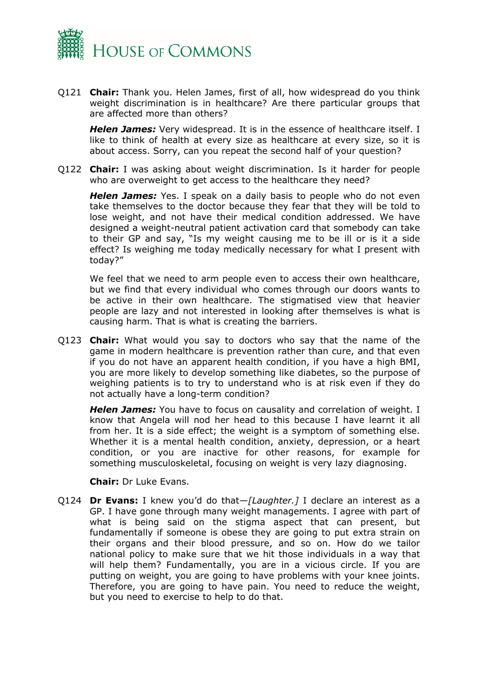

Q121 **Chair:** Thank you. Helen James, first of all, how widespread do you think weight discrimination is in healthcare? Are there particular groups that are affected more than others?

*Helen James:* Very widespread. It is in the essence of healthcare itself. I like to think of health at every size as healthcare at every size, so it is about access. Sorry, can you repeat the second half of your question?

Q122 **Chair:** I was asking about weight discrimination. Is it harder for people who are overweight to get access to the healthcare they need?

*Helen James:* Yes. I speak on a daily basis to people who do not even take themselves to the doctor because they fear that they will be told to lose weight, and not have their medical condition addressed. We have designed a weight-neutral patient activation card that somebody can take to their GP and say, "Is my weight causing me to be ill or is it a side effect? Is weighing me today medically necessary for what I present with today?"

We feel that we need to arm people even to access their own healthcare, but we find that every individual who comes through our doors wants to be active in their own healthcare. The stigmatised view that heavier people are lazy and not interested in looking after themselves is what is causing harm. That is what is creating the barriers.

Q123 **Chair:** What would you say to doctors who say that the name of the game in modern healthcare is prevention rather than cure, and that even if you do not have an apparent health condition, if you have a high BMI, you are more likely to develop something like diabetes, so the purpose of weighing patients is to try to understand who is at risk even if they do not actually have a long-term condition?

*Helen James:* You have to focus on causality and correlation of weight. I know that Angela will nod her head to this because I have learnt it all from her. It is a side effect; the weight is a symptom of something else. Whether it is a mental health condition, anxiety, depression, or a heart condition, or you are inactive for other reasons, for example for something musculoskeletal, focusing on weight is very lazy diagnosing.

**Chair:** Dr Luke Evans.

Q124 **Dr Evans:** I knew you'd do that—*[Laughter.]* I declare an interest as a GP. I have gone through many weight managements. I agree with part of what is being said on the stigma aspect that can present, but fundamentally if someone is obese they are going to put extra strain on their organs and their blood pressure, and so on. How do we tailor national policy to make sure that we hit those individuals in a way that will help them? Fundamentally, you are in a vicious circle. If you are putting on weight, you are going to have problems with your knee joints. Therefore, you are going to have pain. You need to reduce the weight, but you need to exercise to help to do that.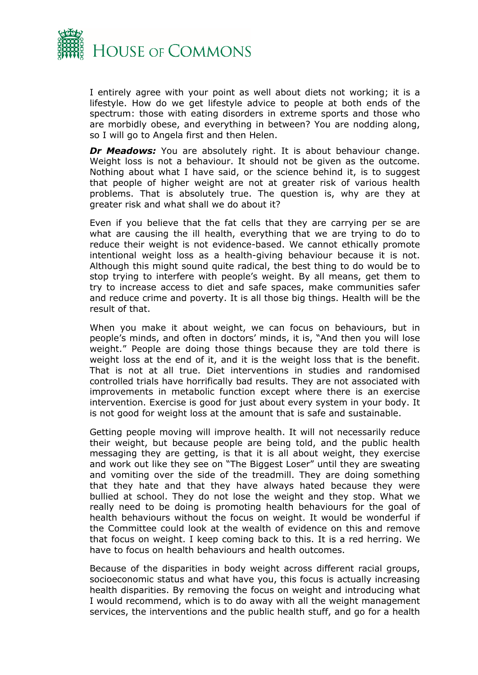

I entirely agree with your point as well about diets not working; it is a lifestyle. How do we get lifestyle advice to people at both ends of the spectrum: those with eating disorders in extreme sports and those who are morbidly obese, and everything in between? You are nodding along, so I will go to Angela first and then Helen.

*Dr Meadows:* You are absolutely right. It is about behaviour change. Weight loss is not a behaviour. It should not be given as the outcome. Nothing about what I have said, or the science behind it, is to suggest that people of higher weight are not at greater risk of various health problems. That is absolutely true. The question is, why are they at greater risk and what shall we do about it?

Even if you believe that the fat cells that they are carrying per se are what are causing the ill health, everything that we are trying to do to reduce their weight is not evidence-based. We cannot ethically promote intentional weight loss as a health-giving behaviour because it is not. Although this might sound quite radical, the best thing to do would be to stop trying to interfere with people's weight. By all means, get them to try to increase access to diet and safe spaces, make communities safer and reduce crime and poverty. It is all those big things. Health will be the result of that.

When you make it about weight, we can focus on behaviours, but in people's minds, and often in doctors' minds, it is, "And then you will lose weight." People are doing those things because they are told there is weight loss at the end of it, and it is the weight loss that is the benefit. That is not at all true. Diet interventions in studies and randomised controlled trials have horrifically bad results. They are not associated with improvements in metabolic function except where there is an exercise intervention. Exercise is good for just about every system in your body. It is not good for weight loss at the amount that is safe and sustainable.

Getting people moving will improve health. It will not necessarily reduce their weight, but because people are being told, and the public health messaging they are getting, is that it is all about weight, they exercise and work out like they see on "The Biggest Loser" until they are sweating and vomiting over the side of the treadmill. They are doing something that they hate and that they have always hated because they were bullied at school. They do not lose the weight and they stop. What we really need to be doing is promoting health behaviours for the goal of health behaviours without the focus on weight. It would be wonderful if the Committee could look at the wealth of evidence on this and remove that focus on weight. I keep coming back to this. It is a red herring. We have to focus on health behaviours and health outcomes.

Because of the disparities in body weight across different racial groups, socioeconomic status and what have you, this focus is actually increasing health disparities. By removing the focus on weight and introducing what I would recommend, which is to do away with all the weight management services, the interventions and the public health stuff, and go for a health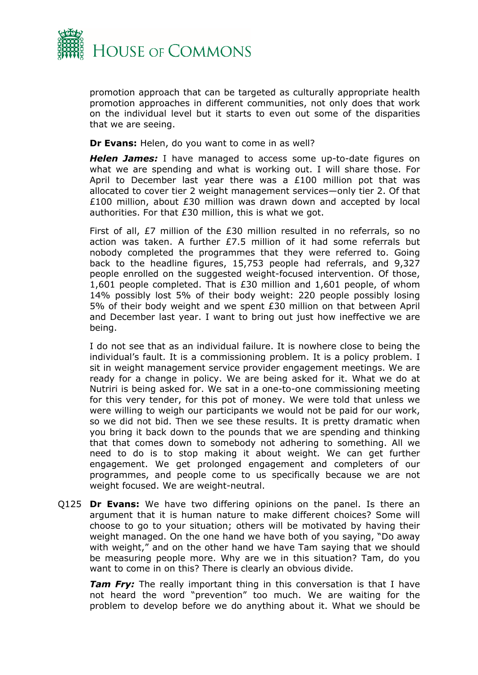

promotion approach that can be targeted as culturally appropriate health promotion approaches in different communities, not only does that work on the individual level but it starts to even out some of the disparities that we are seeing.

**Dr Evans:** Helen, do you want to come in as well?

*Helen James:* I have managed to access some up-to-date figures on what we are spending and what is working out. I will share those. For April to December last year there was a £100 million pot that was allocated to cover tier 2 weight management services—only tier 2. Of that £100 million, about £30 million was drawn down and accepted by local authorities. For that £30 million, this is what we got.

First of all, £7 million of the £30 million resulted in no referrals, so no action was taken. A further £7.5 million of it had some referrals but nobody completed the programmes that they were referred to. Going back to the headline figures, 15,753 people had referrals, and 9,327 people enrolled on the suggested weight-focused intervention. Of those, 1,601 people completed. That is £30 million and 1,601 people, of whom 14% possibly lost 5% of their body weight: 220 people possibly losing 5% of their body weight and we spent £30 million on that between April and December last year. I want to bring out just how ineffective we are being.

I do not see that as an individual failure. It is nowhere close to being the individual's fault. It is a commissioning problem. It is a policy problem. I sit in weight management service provider engagement meetings. We are ready for a change in policy. We are being asked for it. What we do at Nutriri is being asked for. We sat in a one-to-one commissioning meeting for this very tender, for this pot of money. We were told that unless we were willing to weigh our participants we would not be paid for our work, so we did not bid. Then we see these results. It is pretty dramatic when you bring it back down to the pounds that we are spending and thinking that that comes down to somebody not adhering to something. All we need to do is to stop making it about weight. We can get further engagement. We get prolonged engagement and completers of our programmes, and people come to us specifically because we are not weight focused. We are weight-neutral.

Q125 **Dr Evans:** We have two differing opinions on the panel. Is there an argument that it is human nature to make different choices? Some will choose to go to your situation; others will be motivated by having their weight managed. On the one hand we have both of you saying, "Do away with weight," and on the other hand we have Tam saying that we should be measuring people more. Why are we in this situation? Tam, do you want to come in on this? There is clearly an obvious divide.

*Tam Frv:* The really important thing in this conversation is that I have not heard the word "prevention" too much. We are waiting for the problem to develop before we do anything about it. What we should be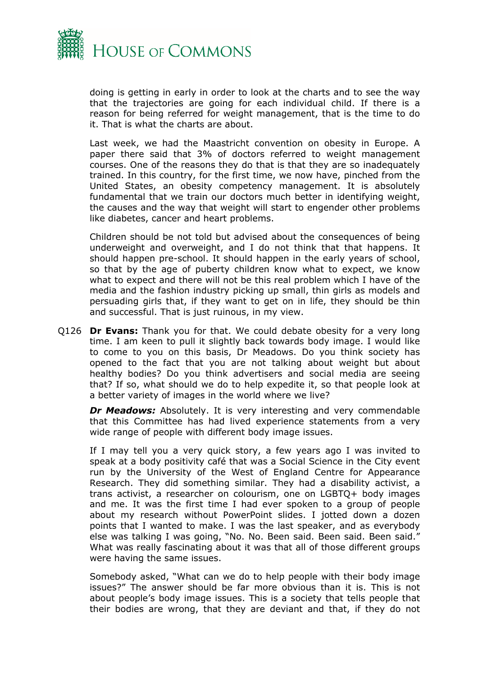

doing is getting in early in order to look at the charts and to see the way that the trajectories are going for each individual child. If there is a reason for being referred for weight management, that is the time to do it. That is what the charts are about.

Last week, we had the Maastricht convention on obesity in Europe. A paper there said that 3% of doctors referred to weight management courses. One of the reasons they do that is that they are so inadequately trained. In this country, for the first time, we now have, pinched from the United States, an obesity competency management. It is absolutely fundamental that we train our doctors much better in identifying weight, the causes and the way that weight will start to engender other problems like diabetes, cancer and heart problems.

Children should be not told but advised about the consequences of being underweight and overweight, and I do not think that that happens. It should happen pre-school. It should happen in the early years of school, so that by the age of puberty children know what to expect, we know what to expect and there will not be this real problem which I have of the media and the fashion industry picking up small, thin girls as models and persuading girls that, if they want to get on in life, they should be thin and successful. That is just ruinous, in my view.

Q126 **Dr Evans:** Thank you for that. We could debate obesity for a very long time. I am keen to pull it slightly back towards body image. I would like to come to you on this basis, Dr Meadows. Do you think society has opened to the fact that you are not talking about weight but about healthy bodies? Do you think advertisers and social media are seeing that? If so, what should we do to help expedite it, so that people look at a better variety of images in the world where we live?

*Dr Meadows:* Absolutely. It is very interesting and very commendable that this Committee has had lived experience statements from a very wide range of people with different body image issues.

If I may tell you a very quick story, a few years ago I was invited to speak at a body positivity café that was a Social Science in the City event run by the University of the West of England Centre for Appearance Research. They did something similar. They had a disability activist, a trans activist, a researcher on colourism, one on LGBTQ+ body images and me. It was the first time I had ever spoken to a group of people about my research without PowerPoint slides. I jotted down a dozen points that I wanted to make. I was the last speaker, and as everybody else was talking I was going, "No. No. Been said. Been said. Been said." What was really fascinating about it was that all of those different groups were having the same issues.

Somebody asked, "What can we do to help people with their body image issues?" The answer should be far more obvious than it is. This is not about people's body image issues. This is a society that tells people that their bodies are wrong, that they are deviant and that, if they do not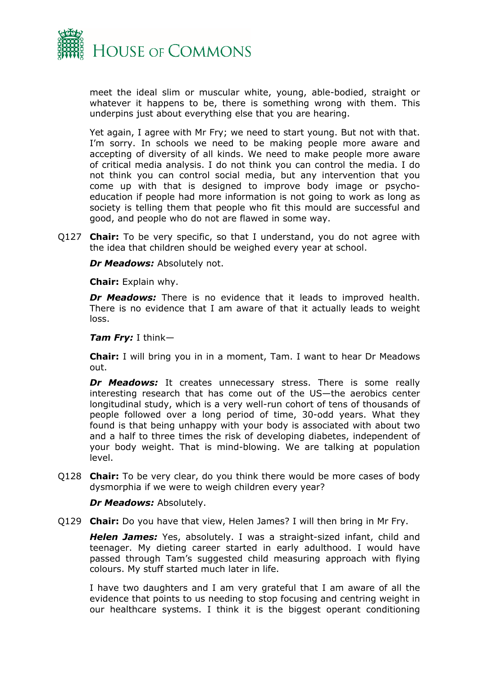

meet the ideal slim or muscular white, young, able-bodied, straight or whatever it happens to be, there is something wrong with them. This underpins just about everything else that you are hearing.

Yet again, I agree with Mr Fry; we need to start young. But not with that. I'm sorry. In schools we need to be making people more aware and accepting of diversity of all kinds. We need to make people more aware of critical media analysis. I do not think you can control the media. I do not think you can control social media, but any intervention that you come up with that is designed to improve body image or psychoeducation if people had more information is not going to work as long as society is telling them that people who fit this mould are successful and good, and people who do not are flawed in some way.

Q127 **Chair:** To be very specific, so that I understand, you do not agree with the idea that children should be weighed every year at school.

*Dr Meadows:* Absolutely not.

**Chair:** Explain why.

*Dr Meadows:* There is no evidence that it leads to improved health. There is no evidence that I am aware of that it actually leads to weight loss.

*Tam Fry:* I think—

**Chair:** I will bring you in in a moment, Tam. I want to hear Dr Meadows out.

**Dr Meadows:** It creates unnecessary stress. There is some really interesting research that has come out of the US—the aerobics center longitudinal study, which is a very well-run cohort of tens of thousands of people followed over a long period of time, 30-odd years. What they found is that being unhappy with your body is associated with about two and a half to three times the risk of developing diabetes, independent of your body weight. That is mind-blowing. We are talking at population level.

Q128 **Chair:** To be very clear, do you think there would be more cases of body dysmorphia if we were to weigh children every year?

*Dr Meadows:* Absolutely.

Q129 **Chair:** Do you have that view, Helen James? I will then bring in Mr Fry.

*Helen James:* Yes, absolutely. I was a straight-sized infant, child and teenager. My dieting career started in early adulthood. I would have passed through Tam's suggested child measuring approach with flying colours. My stuff started much later in life.

I have two daughters and I am very grateful that I am aware of all the evidence that points to us needing to stop focusing and centring weight in our healthcare systems. I think it is the biggest operant conditioning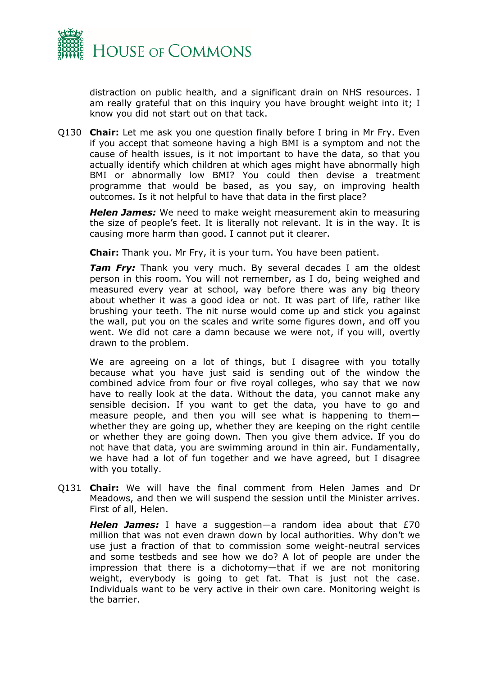

distraction on public health, and a significant drain on NHS resources. I am really grateful that on this inquiry you have brought weight into it; I know you did not start out on that tack.

Q130 **Chair:** Let me ask you one question finally before I bring in Mr Fry. Even if you accept that someone having a high BMI is a symptom and not the cause of health issues, is it not important to have the data, so that you actually identify which children at which ages might have abnormally high BMI or abnormally low BMI? You could then devise a treatment programme that would be based, as you say, on improving health outcomes. Is it not helpful to have that data in the first place?

*Helen James:* We need to make weight measurement akin to measuring the size of people's feet. It is literally not relevant. It is in the way. It is causing more harm than good. I cannot put it clearer.

**Chair:** Thank you. Mr Fry, it is your turn. You have been patient.

*Tam Fry:* Thank you very much. By several decades I am the oldest person in this room. You will not remember, as I do, being weighed and measured every year at school, way before there was any big theory about whether it was a good idea or not. It was part of life, rather like brushing your teeth. The nit nurse would come up and stick you against the wall, put you on the scales and write some figures down, and off you went. We did not care a damn because we were not, if you will, overtly drawn to the problem.

We are agreeing on a lot of things, but I disagree with you totally because what you have just said is sending out of the window the combined advice from four or five royal colleges, who say that we now have to really look at the data. Without the data, you cannot make any sensible decision. If you want to get the data, you have to go and measure people, and then you will see what is happening to them whether they are going up, whether they are keeping on the right centile or whether they are going down. Then you give them advice. If you do not have that data, you are swimming around in thin air. Fundamentally, we have had a lot of fun together and we have agreed, but I disagree with you totally.

Q131 **Chair:** We will have the final comment from Helen James and Dr Meadows, and then we will suspend the session until the Minister arrives. First of all, Helen.

*Helen James:* I have a suggestion—a random idea about that £70 million that was not even drawn down by local authorities. Why don't we use just a fraction of that to commission some weight-neutral services and some testbeds and see how we do? A lot of people are under the impression that there is a dichotomy—that if we are not monitoring weight, everybody is going to get fat. That is just not the case. Individuals want to be very active in their own care. Monitoring weight is the barrier.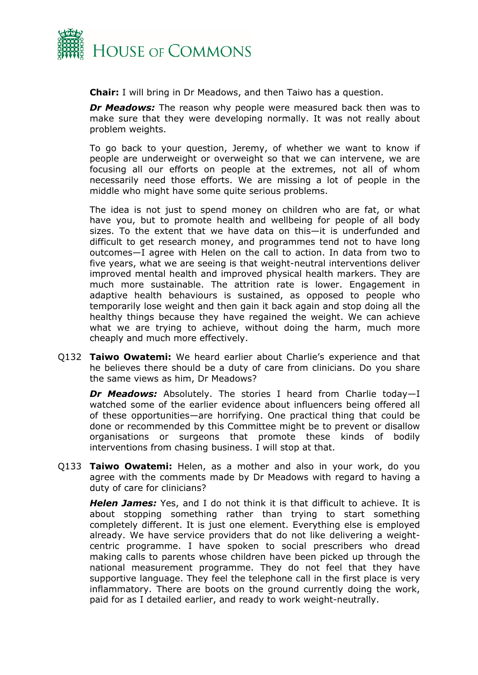

**Chair:** I will bring in Dr Meadows, and then Taiwo has a question.

*Dr Meadows:* The reason why people were measured back then was to make sure that they were developing normally. It was not really about problem weights.

To go back to your question, Jeremy, of whether we want to know if people are underweight or overweight so that we can intervene, we are focusing all our efforts on people at the extremes, not all of whom necessarily need those efforts. We are missing a lot of people in the middle who might have some quite serious problems.

The idea is not just to spend money on children who are fat, or what have you, but to promote health and wellbeing for people of all body sizes. To the extent that we have data on this—it is underfunded and difficult to get research money, and programmes tend not to have long outcomes—I agree with Helen on the call to action. In data from two to five years, what we are seeing is that weight-neutral interventions deliver improved mental health and improved physical health markers. They are much more sustainable. The attrition rate is lower. Engagement in adaptive health behaviours is sustained, as opposed to people who temporarily lose weight and then gain it back again and stop doing all the healthy things because they have regained the weight. We can achieve what we are trying to achieve, without doing the harm, much more cheaply and much more effectively.

Q132 **Taiwo Owatemi:** We heard earlier about Charlie's experience and that he believes there should be a duty of care from clinicians. Do you share the same views as him, Dr Meadows?

*Dr Meadows:* Absolutely. The stories I heard from Charlie today—I watched some of the earlier evidence about influencers being offered all of these opportunities—are horrifying. One practical thing that could be done or recommended by this Committee might be to prevent or disallow organisations or surgeons that promote these kinds of bodily interventions from chasing business. I will stop at that.

Q133 **Taiwo Owatemi:** Helen, as a mother and also in your work, do you agree with the comments made by Dr Meadows with regard to having a duty of care for clinicians?

*Helen James:* Yes, and I do not think it is that difficult to achieve. It is about stopping something rather than trying to start something completely different. It is just one element. Everything else is employed already. We have service providers that do not like delivering a weightcentric programme. I have spoken to social prescribers who dread making calls to parents whose children have been picked up through the national measurement programme. They do not feel that they have supportive language. They feel the telephone call in the first place is very inflammatory. There are boots on the ground currently doing the work, paid for as I detailed earlier, and ready to work weight-neutrally.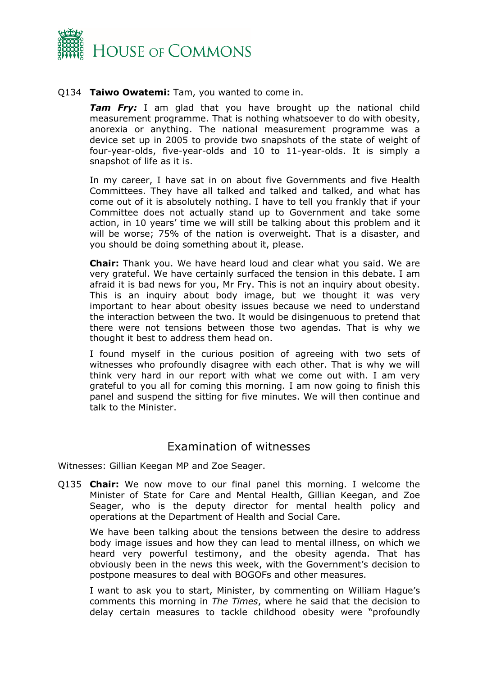

#### Q134 **Taiwo Owatemi:** Tam, you wanted to come in.

*Tam Fry:* I am glad that you have brought up the national child measurement programme. That is nothing whatsoever to do with obesity, anorexia or anything. The national measurement programme was a device set up in 2005 to provide two snapshots of the state of weight of four-year-olds, five-year-olds and 10 to 11-year-olds. It is simply a snapshot of life as it is.

In my career, I have sat in on about five Governments and five Health Committees. They have all talked and talked and talked, and what has come out of it is absolutely nothing. I have to tell you frankly that if your Committee does not actually stand up to Government and take some action, in 10 years' time we will still be talking about this problem and it will be worse; 75% of the nation is overweight. That is a disaster, and you should be doing something about it, please.

**Chair:** Thank you. We have heard loud and clear what you said. We are very grateful. We have certainly surfaced the tension in this debate. I am afraid it is bad news for you, Mr Fry. This is not an inquiry about obesity. This is an inquiry about body image, but we thought it was very important to hear about obesity issues because we need to understand the interaction between the two. It would be disingenuous to pretend that there were not tensions between those two agendas. That is why we thought it best to address them head on.

I found myself in the curious position of agreeing with two sets of witnesses who profoundly disagree with each other. That is why we will think very hard in our report with what we come out with. I am very grateful to you all for coming this morning. I am now going to finish this panel and suspend the sitting for five minutes. We will then continue and talk to the Minister.

## <span id="page-19-0"></span>Examination of witnesses

Witnesses: Gillian Keegan MP and Zoe Seager.

Q135 **Chair:** We now move to our final panel this morning. I welcome the Minister of State for Care and Mental Health, Gillian Keegan, and Zoe Seager, who is the deputy director for mental health policy and operations at the Department of Health and Social Care.

We have been talking about the tensions between the desire to address body image issues and how they can lead to mental illness, on which we heard very powerful testimony, and the obesity agenda. That has obviously been in the news this week, with the Government's decision to postpone measures to deal with BOGOFs and other measures.

I want to ask you to start, Minister, by commenting on William Hague's comments this morning in *The Times*, where he said that the decision to delay certain measures to tackle childhood obesity were "profoundly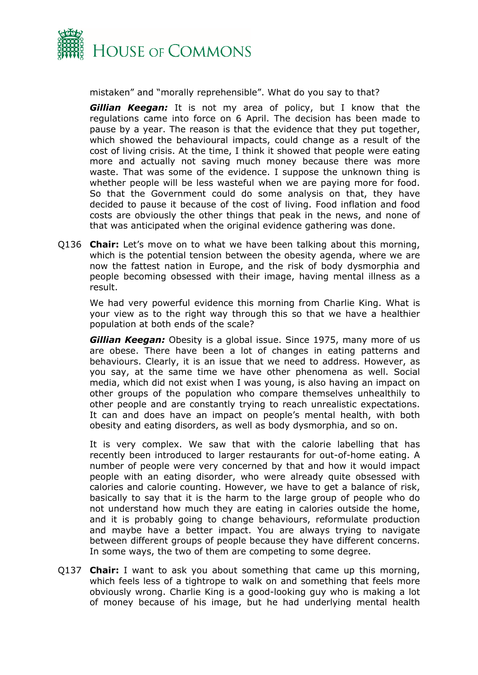

mistaken" and "morally reprehensible". What do you say to that?

*Gillian Keegan:* It is not my area of policy, but I know that the regulations came into force on 6 April. The decision has been made to pause by a year. The reason is that the evidence that they put together, which showed the behavioural impacts, could change as a result of the cost of living crisis. At the time, I think it showed that people were eating more and actually not saving much money because there was more waste. That was some of the evidence. I suppose the unknown thing is whether people will be less wasteful when we are paying more for food. So that the Government could do some analysis on that, they have decided to pause it because of the cost of living. Food inflation and food costs are obviously the other things that peak in the news, and none of that was anticipated when the original evidence gathering was done.

Q136 **Chair:** Let's move on to what we have been talking about this morning, which is the potential tension between the obesity agenda, where we are now the fattest nation in Europe, and the risk of body dysmorphia and people becoming obsessed with their image, having mental illness as a result.

We had very powerful evidence this morning from Charlie King. What is your view as to the right way through this so that we have a healthier population at both ends of the scale?

*Gillian Keegan:* Obesity is a global issue. Since 1975, many more of us are obese. There have been a lot of changes in eating patterns and behaviours. Clearly, it is an issue that we need to address. However, as you say, at the same time we have other phenomena as well. Social media, which did not exist when I was young, is also having an impact on other groups of the population who compare themselves unhealthily to other people and are constantly trying to reach unrealistic expectations. It can and does have an impact on people's mental health, with both obesity and eating disorders, as well as body dysmorphia, and so on.

It is very complex. We saw that with the calorie labelling that has recently been introduced to larger restaurants for out-of-home eating. A number of people were very concerned by that and how it would impact people with an eating disorder, who were already quite obsessed with calories and calorie counting. However, we have to get a balance of risk, basically to say that it is the harm to the large group of people who do not understand how much they are eating in calories outside the home, and it is probably going to change behaviours, reformulate production and maybe have a better impact. You are always trying to navigate between different groups of people because they have different concerns. In some ways, the two of them are competing to some degree.

Q137 **Chair:** I want to ask you about something that came up this morning, which feels less of a tightrope to walk on and something that feels more obviously wrong. Charlie King is a good-looking guy who is making a lot of money because of his image, but he had underlying mental health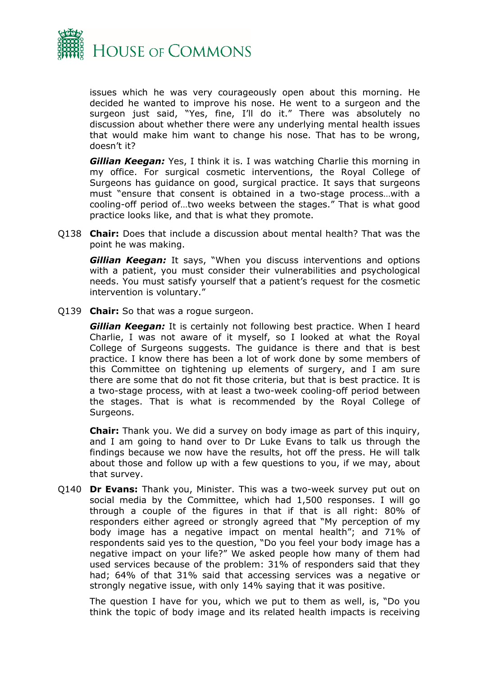

issues which he was very courageously open about this morning. He decided he wanted to improve his nose. He went to a surgeon and the surgeon just said, "Yes, fine, I'll do it." There was absolutely no discussion about whether there were any underlying mental health issues that would make him want to change his nose. That has to be wrong, doesn't it?

*Gillian Keegan:* Yes, I think it is. I was watching Charlie this morning in my office. For surgical cosmetic interventions, the Royal College of Surgeons has guidance on good, surgical practice. It says that surgeons must "ensure that consent is obtained in a two-stage process…with a cooling-off period of…two weeks between the stages." That is what good practice looks like, and that is what they promote.

Q138 **Chair:** Does that include a discussion about mental health? That was the point he was making.

*Gillian Keegan:* It says, "When you discuss interventions and options with a patient, you must consider their vulnerabilities and psychological needs. You must satisfy yourself that a patient's request for the cosmetic intervention is voluntary."

Q139 **Chair:** So that was a rogue surgeon.

*Gillian Keegan:* It is certainly not following best practice. When I heard Charlie, I was not aware of it myself, so I looked at what the Royal College of Surgeons suggests. The guidance is there and that is best practice. I know there has been a lot of work done by some members of this Committee on tightening up elements of surgery, and I am sure there are some that do not fit those criteria, but that is best practice. It is a two-stage process, with at least a two-week cooling-off period between the stages. That is what is recommended by the Royal College of Surgeons.

**Chair:** Thank you. We did a survey on body image as part of this inquiry, and I am going to hand over to Dr Luke Evans to talk us through the findings because we now have the results, hot off the press. He will talk about those and follow up with a few questions to you, if we may, about that survey.

Q140 **Dr Evans:** Thank you, Minister. This was a two-week survey put out on social media by the Committee, which had 1,500 responses. I will go through a couple of the figures in that if that is all right: 80% of responders either agreed or strongly agreed that "My perception of my body image has a negative impact on mental health"; and 71% of respondents said yes to the question, "Do you feel your body image has a negative impact on your life?" We asked people how many of them had used services because of the problem: 31% of responders said that they had; 64% of that 31% said that accessing services was a negative or strongly negative issue, with only 14% saying that it was positive.

The question I have for you, which we put to them as well, is, "Do you think the topic of body image and its related health impacts is receiving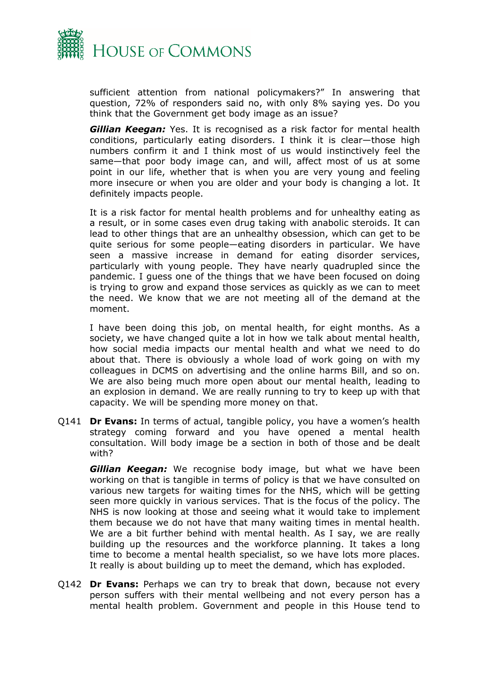

sufficient attention from national policymakers?" In answering that question, 72% of responders said no, with only 8% saying yes. Do you think that the Government get body image as an issue?

*Gillian Keegan:* Yes. It is recognised as a risk factor for mental health conditions, particularly eating disorders. I think it is clear—those high numbers confirm it and I think most of us would instinctively feel the same—that poor body image can, and will, affect most of us at some point in our life, whether that is when you are very young and feeling more insecure or when you are older and your body is changing a lot. It definitely impacts people.

It is a risk factor for mental health problems and for unhealthy eating as a result, or in some cases even drug taking with anabolic steroids. It can lead to other things that are an unhealthy obsession, which can get to be quite serious for some people—eating disorders in particular. We have seen a massive increase in demand for eating disorder services, particularly with young people. They have nearly quadrupled since the pandemic. I guess one of the things that we have been focused on doing is trying to grow and expand those services as quickly as we can to meet the need. We know that we are not meeting all of the demand at the moment.

I have been doing this job, on mental health, for eight months. As a society, we have changed quite a lot in how we talk about mental health, how social media impacts our mental health and what we need to do about that. There is obviously a whole load of work going on with my colleagues in DCMS on advertising and the online harms Bill, and so on. We are also being much more open about our mental health, leading to an explosion in demand. We are really running to try to keep up with that capacity. We will be spending more money on that.

Q141 **Dr Evans:** In terms of actual, tangible policy, you have a women's health strategy coming forward and you have opened a mental health consultation. Will body image be a section in both of those and be dealt with?

*Gillian Keegan:* We recognise body image, but what we have been working on that is tangible in terms of policy is that we have consulted on various new targets for waiting times for the NHS, which will be getting seen more quickly in various services. That is the focus of the policy. The NHS is now looking at those and seeing what it would take to implement them because we do not have that many waiting times in mental health. We are a bit further behind with mental health. As I say, we are really building up the resources and the workforce planning. It takes a long time to become a mental health specialist, so we have lots more places. It really is about building up to meet the demand, which has exploded.

Q142 **Dr Evans:** Perhaps we can try to break that down, because not every person suffers with their mental wellbeing and not every person has a mental health problem. Government and people in this House tend to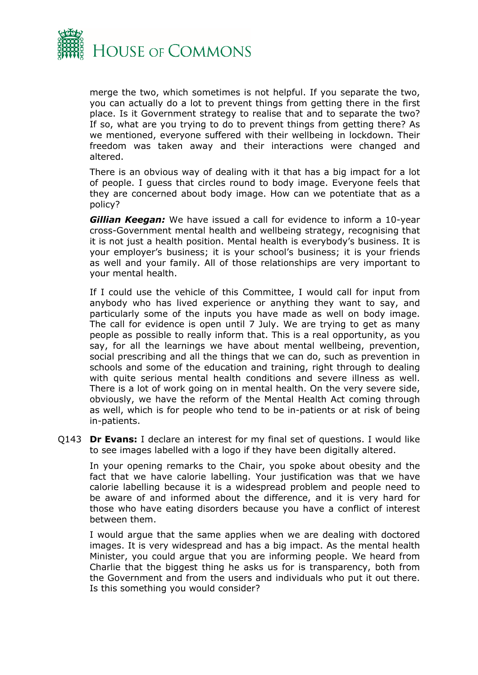

merge the two, which sometimes is not helpful. If you separate the two, you can actually do a lot to prevent things from getting there in the first place. Is it Government strategy to realise that and to separate the two? If so, what are you trying to do to prevent things from getting there? As we mentioned, everyone suffered with their wellbeing in lockdown. Their freedom was taken away and their interactions were changed and altered.

There is an obvious way of dealing with it that has a big impact for a lot of people. I guess that circles round to body image. Everyone feels that they are concerned about body image. How can we potentiate that as a policy?

*Gillian Keegan:* We have issued a call for evidence to inform a 10-year cross-Government mental health and wellbeing strategy, recognising that it is not just a health position. Mental health is everybody's business. It is your employer's business; it is your school's business; it is your friends as well and your family. All of those relationships are very important to your mental health.

If I could use the vehicle of this Committee, I would call for input from anybody who has lived experience or anything they want to say, and particularly some of the inputs you have made as well on body image. The call for evidence is open until 7 July. We are trying to get as many people as possible to really inform that. This is a real opportunity, as you say, for all the learnings we have about mental wellbeing, prevention, social prescribing and all the things that we can do, such as prevention in schools and some of the education and training, right through to dealing with quite serious mental health conditions and severe illness as well. There is a lot of work going on in mental health. On the very severe side, obviously, we have the reform of the Mental Health Act coming through as well, which is for people who tend to be in-patients or at risk of being in-patients.

Q143 **Dr Evans:** I declare an interest for my final set of questions. I would like to see images labelled with a logo if they have been digitally altered.

In your opening remarks to the Chair, you spoke about obesity and the fact that we have calorie labelling. Your justification was that we have calorie labelling because it is a widespread problem and people need to be aware of and informed about the difference, and it is very hard for those who have eating disorders because you have a conflict of interest between them.

I would argue that the same applies when we are dealing with doctored images. It is very widespread and has a big impact. As the mental health Minister, you could argue that you are informing people. We heard from Charlie that the biggest thing he asks us for is transparency, both from the Government and from the users and individuals who put it out there. Is this something you would consider?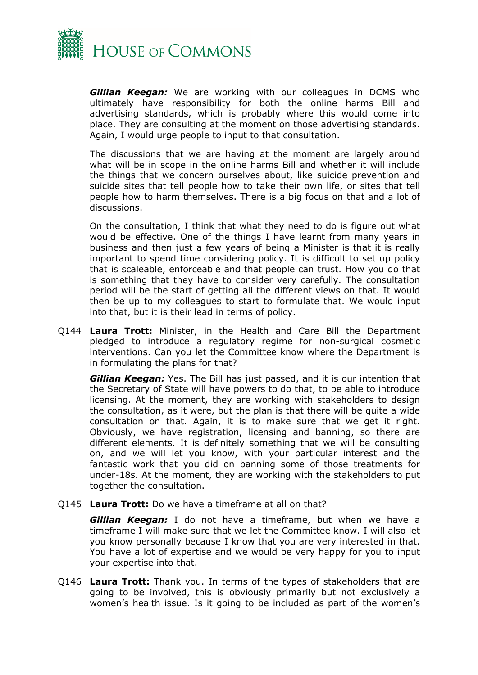

*Gillian Keegan:* We are working with our colleagues in DCMS who ultimately have responsibility for both the online harms Bill and advertising standards, which is probably where this would come into place. They are consulting at the moment on those advertising standards. Again, I would urge people to input to that consultation.

The discussions that we are having at the moment are largely around what will be in scope in the online harms Bill and whether it will include the things that we concern ourselves about, like suicide prevention and suicide sites that tell people how to take their own life, or sites that tell people how to harm themselves. There is a big focus on that and a lot of discussions.

On the consultation, I think that what they need to do is figure out what would be effective. One of the things I have learnt from many years in business and then just a few years of being a Minister is that it is really important to spend time considering policy. It is difficult to set up policy that is scaleable, enforceable and that people can trust. How you do that is something that they have to consider very carefully. The consultation period will be the start of getting all the different views on that. It would then be up to my colleagues to start to formulate that. We would input into that, but it is their lead in terms of policy.

Q144 **Laura Trott:** Minister, in the Health and Care Bill the Department pledged to introduce a regulatory regime for non-surgical cosmetic interventions. Can you let the Committee know where the Department is in formulating the plans for that?

*Gillian Keegan:* Yes. The Bill has just passed, and it is our intention that the Secretary of State will have powers to do that, to be able to introduce licensing. At the moment, they are working with stakeholders to design the consultation, as it were, but the plan is that there will be quite a wide consultation on that. Again, it is to make sure that we get it right. Obviously, we have registration, licensing and banning, so there are different elements. It is definitely something that we will be consulting on, and we will let you know, with your particular interest and the fantastic work that you did on banning some of those treatments for under-18s. At the moment, they are working with the stakeholders to put together the consultation.

Q145 **Laura Trott:** Do we have a timeframe at all on that?

*Gillian Keegan:* I do not have a timeframe, but when we have a timeframe I will make sure that we let the Committee know. I will also let you know personally because I know that you are very interested in that. You have a lot of expertise and we would be very happy for you to input your expertise into that.

Q146 **Laura Trott:** Thank you. In terms of the types of stakeholders that are going to be involved, this is obviously primarily but not exclusively a women's health issue. Is it going to be included as part of the women's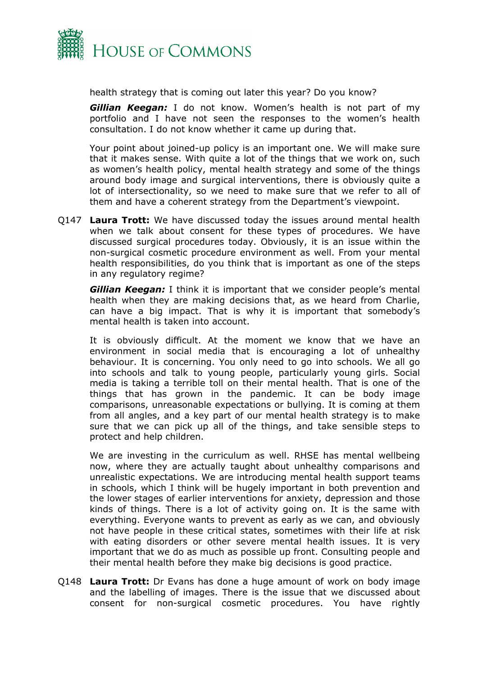

health strategy that is coming out later this year? Do you know?

*Gillian Keegan:* I do not know. Women's health is not part of my portfolio and I have not seen the responses to the women's health consultation. I do not know whether it came up during that.

Your point about joined-up policy is an important one. We will make sure that it makes sense. With quite a lot of the things that we work on, such as women's health policy, mental health strategy and some of the things around body image and surgical interventions, there is obviously quite a lot of intersectionality, so we need to make sure that we refer to all of them and have a coherent strategy from the Department's viewpoint.

Q147 **Laura Trott:** We have discussed today the issues around mental health when we talk about consent for these types of procedures. We have discussed surgical procedures today. Obviously, it is an issue within the non-surgical cosmetic procedure environment as well. From your mental health responsibilities, do you think that is important as one of the steps in any regulatory regime?

*Gillian Keegan:* I think it is important that we consider people's mental health when they are making decisions that, as we heard from Charlie, can have a big impact. That is why it is important that somebody's mental health is taken into account.

It is obviously difficult. At the moment we know that we have an environment in social media that is encouraging a lot of unhealthy behaviour. It is concerning. You only need to go into schools. We all go into schools and talk to young people, particularly young girls. Social media is taking a terrible toll on their mental health. That is one of the things that has grown in the pandemic. It can be body image comparisons, unreasonable expectations or bullying. It is coming at them from all angles, and a key part of our mental health strategy is to make sure that we can pick up all of the things, and take sensible steps to protect and help children.

We are investing in the curriculum as well. RHSE has mental wellbeing now, where they are actually taught about unhealthy comparisons and unrealistic expectations. We are introducing mental health support teams in schools, which I think will be hugely important in both prevention and the lower stages of earlier interventions for anxiety, depression and those kinds of things. There is a lot of activity going on. It is the same with everything. Everyone wants to prevent as early as we can, and obviously not have people in these critical states, sometimes with their life at risk with eating disorders or other severe mental health issues. It is very important that we do as much as possible up front. Consulting people and their mental health before they make big decisions is good practice.

Q148 **Laura Trott:** Dr Evans has done a huge amount of work on body image and the labelling of images. There is the issue that we discussed about consent for non-surgical cosmetic procedures. You have rightly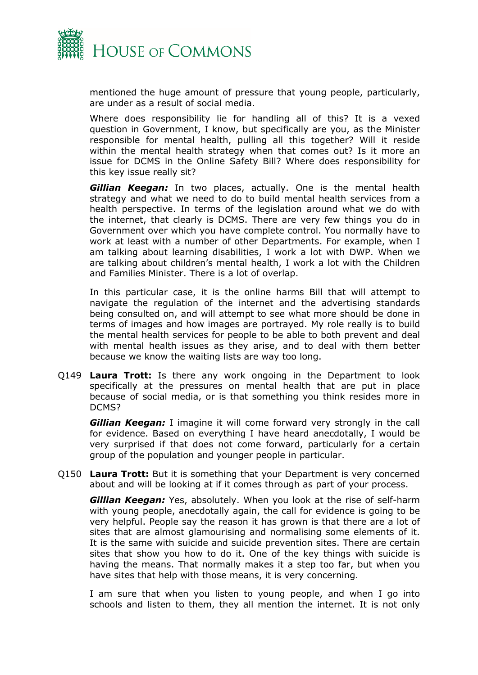

mentioned the huge amount of pressure that young people, particularly, are under as a result of social media.

Where does responsibility lie for handling all of this? It is a vexed question in Government, I know, but specifically are you, as the Minister responsible for mental health, pulling all this together? Will it reside within the mental health strategy when that comes out? Is it more an issue for DCMS in the Online Safety Bill? Where does responsibility for this key issue really sit?

*Gillian Keegan:* In two places, actually. One is the mental health strategy and what we need to do to build mental health services from a health perspective. In terms of the legislation around what we do with the internet, that clearly is DCMS. There are very few things you do in Government over which you have complete control. You normally have to work at least with a number of other Departments. For example, when I am talking about learning disabilities, I work a lot with DWP. When we are talking about children's mental health, I work a lot with the Children and Families Minister. There is a lot of overlap.

In this particular case, it is the online harms Bill that will attempt to navigate the regulation of the internet and the advertising standards being consulted on, and will attempt to see what more should be done in terms of images and how images are portrayed. My role really is to build the mental health services for people to be able to both prevent and deal with mental health issues as they arise, and to deal with them better because we know the waiting lists are way too long.

Q149 **Laura Trott:** Is there any work ongoing in the Department to look specifically at the pressures on mental health that are put in place because of social media, or is that something you think resides more in DCMS?

*Gillian Keegan:* I imagine it will come forward very strongly in the call for evidence. Based on everything I have heard anecdotally, I would be very surprised if that does not come forward, particularly for a certain group of the population and younger people in particular.

Q150 **Laura Trott:** But it is something that your Department is very concerned about and will be looking at if it comes through as part of your process.

*Gillian Keegan:* Yes, absolutely. When you look at the rise of self-harm with young people, anecdotally again, the call for evidence is going to be very helpful. People say the reason it has grown is that there are a lot of sites that are almost glamourising and normalising some elements of it. It is the same with suicide and suicide prevention sites. There are certain sites that show you how to do it. One of the key things with suicide is having the means. That normally makes it a step too far, but when you have sites that help with those means, it is very concerning.

I am sure that when you listen to young people, and when I go into schools and listen to them, they all mention the internet. It is not only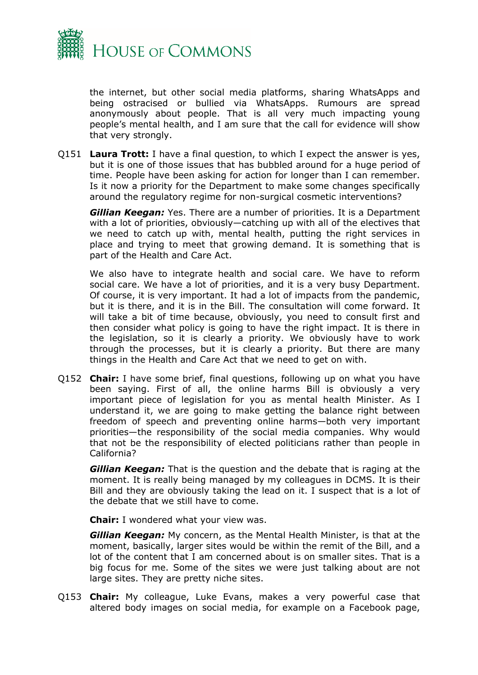

the internet, but other social media platforms, sharing WhatsApps and being ostracised or bullied via WhatsApps. Rumours are spread anonymously about people. That is all very much impacting young people's mental health, and I am sure that the call for evidence will show that very strongly.

Q151 **Laura Trott:** I have a final question, to which I expect the answer is yes, but it is one of those issues that has bubbled around for a huge period of time. People have been asking for action for longer than I can remember. Is it now a priority for the Department to make some changes specifically around the regulatory regime for non-surgical cosmetic interventions?

*Gillian Keegan:* Yes. There are a number of priorities. It is a Department with a lot of priorities, obviously—catching up with all of the electives that we need to catch up with, mental health, putting the right services in place and trying to meet that growing demand. It is something that is part of the Health and Care Act.

We also have to integrate health and social care. We have to reform social care. We have a lot of priorities, and it is a very busy Department. Of course, it is very important. It had a lot of impacts from the pandemic, but it is there, and it is in the Bill. The consultation will come forward. It will take a bit of time because, obviously, you need to consult first and then consider what policy is going to have the right impact. It is there in the legislation, so it is clearly a priority. We obviously have to work through the processes, but it is clearly a priority. But there are many things in the Health and Care Act that we need to get on with.

Q152 **Chair:** I have some brief, final questions, following up on what you have been saying. First of all, the online harms Bill is obviously a very important piece of legislation for you as mental health Minister. As I understand it, we are going to make getting the balance right between freedom of speech and preventing online harms—both very important priorities—the responsibility of the social media companies. Why would that not be the responsibility of elected politicians rather than people in California?

*Gillian Keegan:* That is the question and the debate that is raging at the moment. It is really being managed by my colleagues in DCMS. It is their Bill and they are obviously taking the lead on it. I suspect that is a lot of the debate that we still have to come.

**Chair:** I wondered what your view was.

*Gillian Keegan:* My concern, as the Mental Health Minister, is that at the moment, basically, larger sites would be within the remit of the Bill, and a lot of the content that I am concerned about is on smaller sites. That is a big focus for me. Some of the sites we were just talking about are not large sites. They are pretty niche sites.

Q153 **Chair:** My colleague, Luke Evans, makes a very powerful case that altered body images on social media, for example on a Facebook page,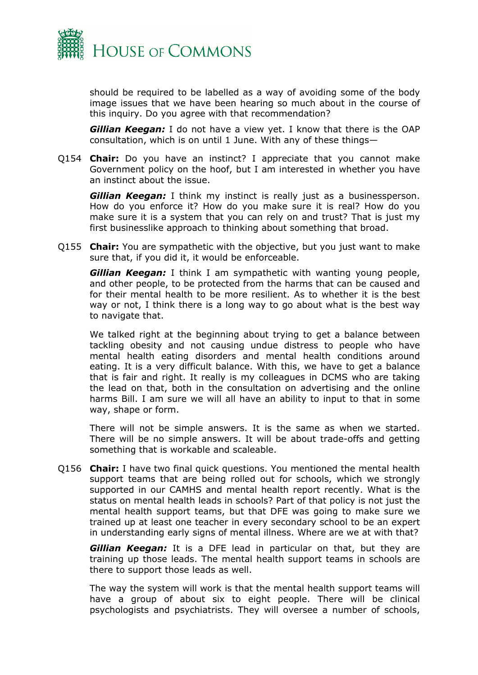

should be required to be labelled as a way of avoiding some of the body image issues that we have been hearing so much about in the course of this inquiry. Do you agree with that recommendation?

**Gillian Keegan:** I do not have a view yet. I know that there is the OAP consultation, which is on until 1 June. With any of these things—

Q154 **Chair:** Do you have an instinct? I appreciate that you cannot make Government policy on the hoof, but I am interested in whether you have an instinct about the issue.

*Gillian Keegan:* I think my instinct is really just as a businessperson. How do you enforce it? How do you make sure it is real? How do you make sure it is a system that you can rely on and trust? That is just my first businesslike approach to thinking about something that broad.

Q155 **Chair:** You are sympathetic with the objective, but you just want to make sure that, if you did it, it would be enforceable.

*Gillian Keegan:* I think I am sympathetic with wanting young people, and other people, to be protected from the harms that can be caused and for their mental health to be more resilient. As to whether it is the best way or not, I think there is a long way to go about what is the best way to navigate that.

We talked right at the beginning about trying to get a balance between tackling obesity and not causing undue distress to people who have mental health eating disorders and mental health conditions around eating. It is a very difficult balance. With this, we have to get a balance that is fair and right. It really is my colleagues in DCMS who are taking the lead on that, both in the consultation on advertising and the online harms Bill. I am sure we will all have an ability to input to that in some way, shape or form.

There will not be simple answers. It is the same as when we started. There will be no simple answers. It will be about trade-offs and getting something that is workable and scaleable.

Q156 **Chair:** I have two final quick questions. You mentioned the mental health support teams that are being rolled out for schools, which we strongly supported in our CAMHS and mental health report recently. What is the status on mental health leads in schools? Part of that policy is not just the mental health support teams, but that DFE was going to make sure we trained up at least one teacher in every secondary school to be an expert in understanding early signs of mental illness. Where are we at with that?

*Gillian Keegan:* It is a DFE lead in particular on that, but they are training up those leads. The mental health support teams in schools are there to support those leads as well.

The way the system will work is that the mental health support teams will have a group of about six to eight people. There will be clinical psychologists and psychiatrists. They will oversee a number of schools,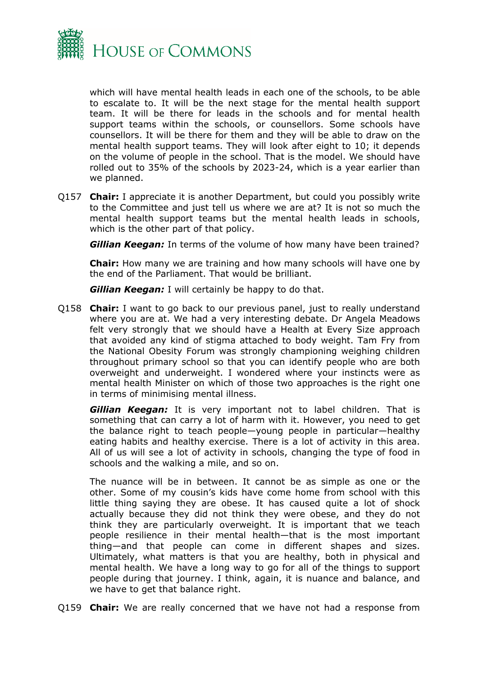

which will have mental health leads in each one of the schools, to be able to escalate to. It will be the next stage for the mental health support team. It will be there for leads in the schools and for mental health support teams within the schools, or counsellors. Some schools have counsellors. It will be there for them and they will be able to draw on the mental health support teams. They will look after eight to 10; it depends on the volume of people in the school. That is the model. We should have rolled out to 35% of the schools by 2023-24, which is a year earlier than we planned.

Q157 **Chair:** I appreciate it is another Department, but could you possibly write to the Committee and just tell us where we are at? It is not so much the mental health support teams but the mental health leads in schools, which is the other part of that policy.

*Gillian Keegan:* In terms of the volume of how many have been trained?

**Chair:** How many we are training and how many schools will have one by the end of the Parliament. That would be brilliant.

*Gillian Keegan:* I will certainly be happy to do that.

Q158 **Chair:** I want to go back to our previous panel, just to really understand where you are at. We had a very interesting debate. Dr Angela Meadows felt very strongly that we should have a Health at Every Size approach that avoided any kind of stigma attached to body weight. Tam Fry from the National Obesity Forum was strongly championing weighing children throughout primary school so that you can identify people who are both overweight and underweight. I wondered where your instincts were as mental health Minister on which of those two approaches is the right one in terms of minimising mental illness.

*Gillian Keegan:* It is very important not to label children. That is something that can carry a lot of harm with it. However, you need to get the balance right to teach people—young people in particular—healthy eating habits and healthy exercise. There is a lot of activity in this area. All of us will see a lot of activity in schools, changing the type of food in schools and the walking a mile, and so on.

The nuance will be in between. It cannot be as simple as one or the other. Some of my cousin's kids have come home from school with this little thing saying they are obese. It has caused quite a lot of shock actually because they did not think they were obese, and they do not think they are particularly overweight. It is important that we teach people resilience in their mental health—that is the most important thing—and that people can come in different shapes and sizes. Ultimately, what matters is that you are healthy, both in physical and mental health. We have a long way to go for all of the things to support people during that journey. I think, again, it is nuance and balance, and we have to get that balance right.

Q159 **Chair:** We are really concerned that we have not had a response from